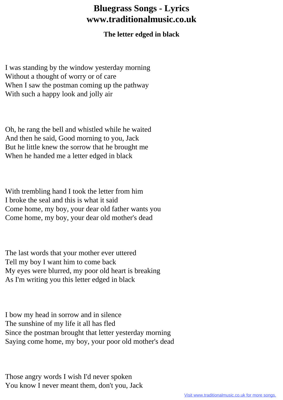## **Bluegrass Songs - Lyrics www.traditionalmusic.co.uk**

## **The letter edged in black**

I was standing by the window yesterday morning Without a thought of worry or of care When I saw the postman coming up the pathway With such a happy look and jolly air

Oh, he rang the bell and whistled while he waited And then he said, Good morning to you, Jack But he little knew the sorrow that he brought me When he handed me a letter edged in black

With trembling hand I took the letter from him I broke the seal and this is what it said Come home, my boy, your dear old father wants you Come home, my boy, your dear old mother's dead

The last words that your mother ever uttered Tell my boy I want him to come back My eyes were blurred, my poor old heart is breaking As I'm writing you this letter edged in black

I bow my head in sorrow and in silence The sunshine of my life it all has fled Since the postman brought that letter yesterday morning Saying come home, my boy, your poor old mother's dead

Those angry words I wish I'd never spoken You know I never meant them, don't you, Jack